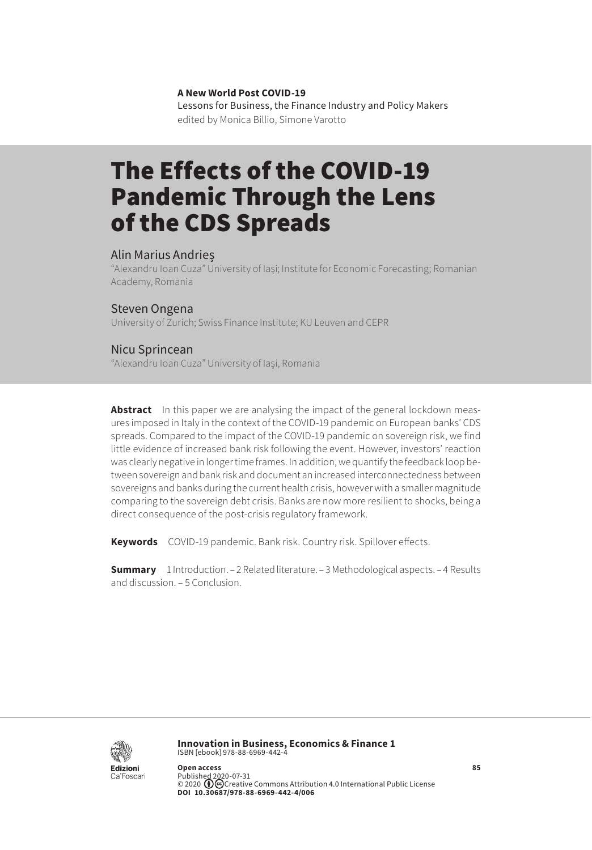**A New World Post COVID-19**

Lessons for Business, the Finance Industry and Policy Makers edited by Monica Billio, Simone Varotto

# The Effects of the COVID-19 Pandemic Through the Lens of the CDS Spreads

#### Alin Marius Andrieș

"Alexandru Ioan Cuza" University of Iași; Institute for Economic Forecasting; Romanian Academy, Romania

#### Steven Ongena

University of Zurich; Swiss Finance Institute; KU Leuven and CEPR

#### Nicu Sprincean

"Alexandru Ioan Cuza" University of Iași, Romania

**Abstract** In this paper we are analysing the impact of the general lockdown measures imposed in Italy in the context of the COVID-19 pandemic on European banks' CDS spreads. Compared to the impact of the COVID-19 pandemic on sovereign risk, we find little evidence of increased bank risk following the event. However, investors' reaction was clearly negative in longer time frames. In addition, we quantify the feedback loop between sovereign and bank risk and document an increased interconnectedness between sovereigns and banks during the current health crisis, however with a smaller magnitude comparing to the sovereign debt crisis. Banks are now more resilient to shocks, being a direct consequence of the post-crisis regulatory framework.

**Keywords** COVID-19 pandemic. Bank risk. Country risk. Spillover effects.

**Summary** 1 Introduction. – 2 Related literature. – 3 Methodological aspects. – 4 Results and discussion. – 5 Conclusion.



**Innovation in Business, Economics & Finance 1** ISBN [ebook] 978-88-6969-442-4

**Open access**<br>Published 2020-07-31<br>© 2020 **(D)**@Creative [Commons Attribution 4.0 International Public License](https://creativecommons.org/licenses/by/4.0/) **DOI 10.30687/978-88-6969-442-4/006**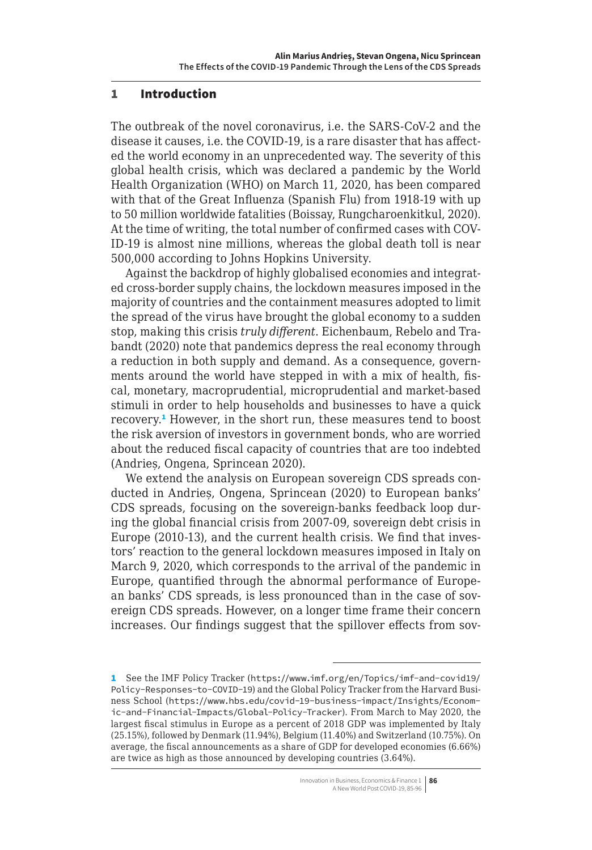### 1 Introduction

The outbreak of the novel coronavirus, i.e. the SARS-CoV-2 and the disease it causes, i.e. the COVID-19, is a rare disaster that has affected the world economy in an unprecedented way. The severity of this global health crisis, which was declared a pandemic by the World Health Organization (WHO) on March 11, 2020, has been compared with that of the Great Influenza (Spanish Flu) from 1918-19 with up to 50 million worldwide fatalities (Boissay, Rungcharoenkitkul, 2020). At the time of writing, the total number of confirmed cases with COV-ID-19 is almost nine millions, whereas the global death toll is near 500,000 according to Johns Hopkins University.

Against the backdrop of highly globalised economies and integrated cross-border supply chains, the lockdown measures imposed in the majority of countries and the containment measures adopted to limit the spread of the virus have brought the global economy to a sudden stop, making this crisis *truly different*. Eichenbaum, Rebelo and Trabandt (2020) note that pandemics depress the real economy through a reduction in both supply and demand. As a consequence, governments around the world have stepped in with a mix of health, fiscal, monetary, macroprudential, microprudential and market-based stimuli in order to help households and businesses to have a quick recovery.<sup>1</sup> However, in the short run, these measures tend to boost the risk aversion of investors in government bonds, who are worried about the reduced fiscal capacity of countries that are too indebted (Andrieș, Ongena, Sprincean 2020).

We extend the analysis on European sovereign CDS spreads conducted in Andrieș, Ongena, Sprincean (2020) to European banks' CDS spreads, focusing on the sovereign-banks feedback loop during the global financial crisis from 2007-09, sovereign debt crisis in Europe (2010-13), and the current health crisis. We find that investors' reaction to the general lockdown measures imposed in Italy on March 9, 2020, which corresponds to the arrival of the pandemic in Europe, quantified through the abnormal performance of European banks' CDS spreads, is less pronounced than in the case of sovereign CDS spreads. However, on a longer time frame their concern increases. Our findings suggest that the spillover effects from sov-

<sup>1</sup> See the IMF Policy Tracker ([https://www.imf.org/en/Topics/imf-and-covid19/](https://www.imf.org/en/Topics/imf-and-covid19/Policy-Responses-to-COVID-19) [Policy-Responses-to-COVID-19](https://www.imf.org/en/Topics/imf-and-covid19/Policy-Responses-to-COVID-19)) and the Global Policy Tracker from the Harvard Business School ([https://www.hbs.edu/covid-19-business-impact/Insights/Econom](https://www.hbs.edu/covid-19-business-impact/Insights/Economic-and-Financial-Impacts/Global-Policy-Tracker)[ic-and-Financial-Impacts/Global-Policy-Tracker](https://www.hbs.edu/covid-19-business-impact/Insights/Economic-and-Financial-Impacts/Global-Policy-Tracker)). From March to May 2020, the largest fiscal stimulus in Europe as a percent of 2018 GDP was implemented by Italy (25.15%), followed by Denmark (11.94%), Belgium (11.40%) and Switzerland (10.75%). On average, the fiscal announcements as a share of GDP for developed economies (6.66%) are twice as high as those announced by developing countries (3.64%).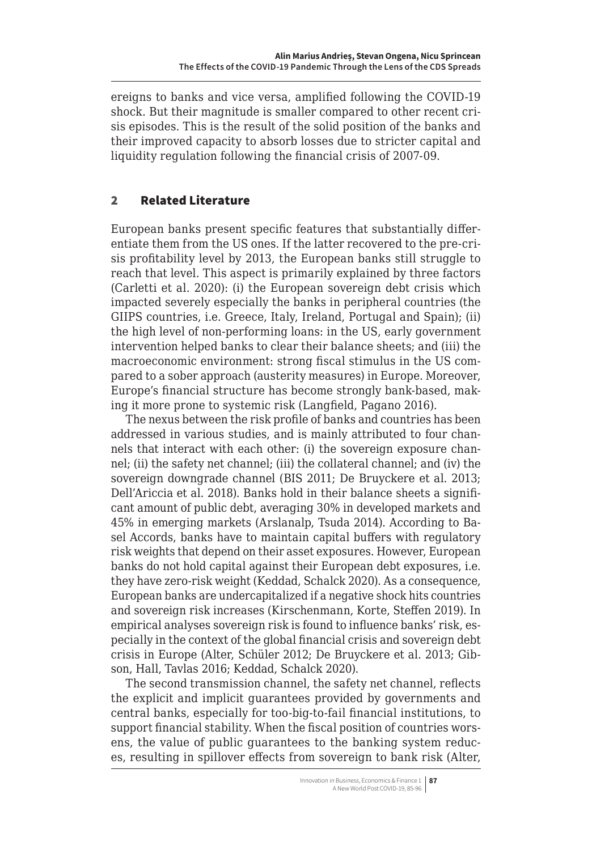ereigns to banks and vice versa, amplified following the COVID-19 shock. But their magnitude is smaller compared to other recent crisis episodes. This is the result of the solid position of the banks and their improved capacity to absorb losses due to stricter capital and liquidity regulation following the financial crisis of 2007-09.

## 2 Related Literature

European banks present specific features that substantially differentiate them from the US ones. If the latter recovered to the pre-crisis profitability level by 2013, the European banks still struggle to reach that level. This aspect is primarily explained by three factors (Carletti et al. 2020): (i) the European sovereign debt crisis which impacted severely especially the banks in peripheral countries (the GIIPS countries, i.e. Greece, Italy, Ireland, Portugal and Spain); (ii) the high level of non-performing loans: in the US, early government intervention helped banks to clear their balance sheets; and (iii) the macroeconomic environment: strong fiscal stimulus in the US compared to a sober approach (austerity measures) in Europe. Moreover, Europe's financial structure has become strongly bank-based, making it more prone to systemic risk (Langfield, Pagano 2016).

The nexus between the risk profile of banks and countries has been addressed in various studies, and is mainly attributed to four channels that interact with each other: (i) the sovereign exposure channel; (ii) the safety net channel; (iii) the collateral channel; and (iv) the sovereign downgrade channel (BIS 2011; De Bruyckere et al. 2013; Dell'Ariccia et al. 2018). Banks hold in their balance sheets a significant amount of public debt, averaging 30% in developed markets and 45% in emerging markets (Arslanalp, Tsuda 2014). According to Basel Accords, banks have to maintain capital buffers with regulatory risk weights that depend on their asset exposures. However, European banks do not hold capital against their European debt exposures, i.e. they have zero-risk weight (Keddad, Schalck 2020). As a consequence, European banks are undercapitalized if a negative shock hits countries and sovereign risk increases (Kirschenmann, Korte, Steffen 2019). In empirical analyses sovereign risk is found to influence banks' risk, especially in the context of the global financial crisis and sovereign debt crisis in Europe (Alter, Schüler 2012; De Bruyckere et al. 2013; Gibson, Hall, Tavlas 2016; Keddad, Schalck 2020).

The second transmission channel, the safety net channel, reflects the explicit and implicit guarantees provided by governments and central banks, especially for too-big-to-fail financial institutions, to support financial stability. When the fiscal position of countries worsens, the value of public guarantees to the banking system reduces, resulting in spillover effects from sovereign to bank risk (Alter,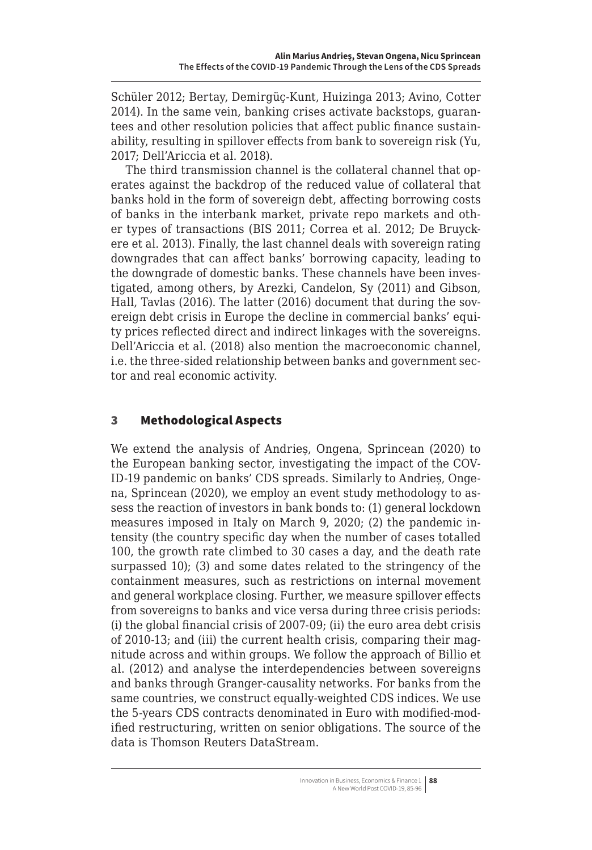Schüler 2012; Bertay, Demirgüç-Kunt, Huizinga 2013; Avino, Cotter 2014). In the same vein, banking crises activate backstops, guarantees and other resolution policies that affect public finance sustainability, resulting in spillover effects from bank to sovereign risk (Yu, 2017; Dell'Ariccia et al. 2018).

The third transmission channel is the collateral channel that operates against the backdrop of the reduced value of collateral that banks hold in the form of sovereign debt, affecting borrowing costs of banks in the interbank market, private repo markets and other types of transactions (BIS 2011; Correa et al. 2012; De Bruyckere et al. 2013). Finally, the last channel deals with sovereign rating downgrades that can affect banks' borrowing capacity, leading to the downgrade of domestic banks. These channels have been investigated, among others, by Arezki, Candelon, Sy (2011) and Gibson, Hall, Tavlas (2016). The latter (2016) document that during the sovereign debt crisis in Europe the decline in commercial banks' equity prices reflected direct and indirect linkages with the sovereigns. Dell'Ariccia et al. (2018) also mention the macroeconomic channel, i.e. the three-sided relationship between banks and government sector and real economic activity.

## 3 Methodological Aspects

We extend the analysis of Andrieș, Ongena, Sprincean (2020) to the European banking sector, investigating the impact of the COV-ID-19 pandemic on banks' CDS spreads. Similarly to Andrieș, Ongena, Sprincean (2020), we employ an event study methodology to assess the reaction of investors in bank bonds to: (1) general lockdown measures imposed in Italy on March 9, 2020; (2) the pandemic intensity (the country specific day when the number of cases totalled 100, the growth rate climbed to 30 cases a day, and the death rate surpassed 10); (3) and some dates related to the stringency of the containment measures, such as restrictions on internal movement and general workplace closing. Further, we measure spillover effects from sovereigns to banks and vice versa during three crisis periods: (i) the global financial crisis of 2007-09; (ii) the euro area debt crisis of 2010-13; and (iii) the current health crisis, comparing their magnitude across and within groups. We follow the approach of Billio et al. (2012) and analyse the interdependencies between sovereigns and banks through Granger-causality networks. For banks from the same countries, we construct equally-weighted CDS indices. We use the 5-years CDS contracts denominated in Euro with modified-modified restructuring, written on senior obligations. The source of the data is Thomson Reuters DataStream.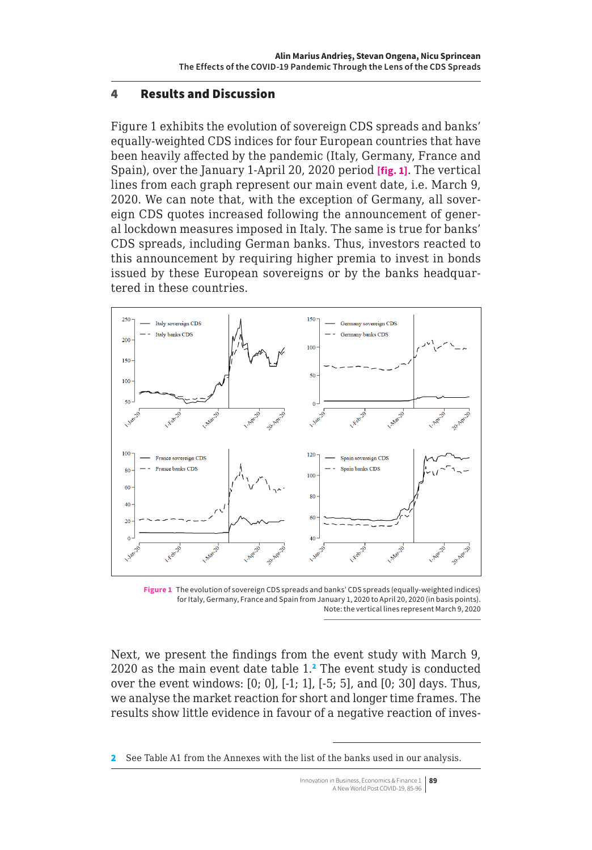### 4 Results and Discussion

Figure 1 exhibits the evolution of sovereign CDS spreads and banks' equally-weighted CDS indices for four European countries that have been heavily affected by the pandemic (Italy, Germany, France and Spain), over the January 1-April 20, 2020 period **[fig. 1]**. The vertical lines from each graph represent our main event date, i.e. March 9, 2020. We can note that, with the exception of Germany, all sovereign CDS quotes increased following the announcement of general lockdown measures imposed in Italy. The same is true for banks' CDS spreads, including German banks. Thus, investors reacted to this announcement by requiring higher premia to invest in bonds issued by these European sovereigns or by the banks headquartered in these countries.



**Figure 1** The evolution of sovereign CDS spreads and banks' CDS spreads (equally-weighted indices) for Italy, Germany, France and Spain from January 1, 2020 to April 20, 2020 (in basis points). Note: the vertical lines represent March 9, 2020

Next, we present the findings from the event study with March 9,  $2020$  as the main event date table  $1<sup>2</sup>$ . The event study is conducted over the event windows: [0; 0], [-1; 1], [-5; 5], and [0; 30] days. Thus, we analyse the market reaction for short and longer time frames. The results show little evidence in favour of a negative reaction of inves-

<sup>2</sup> See Table A1 from the Annexes with the list of the banks used in our analysis.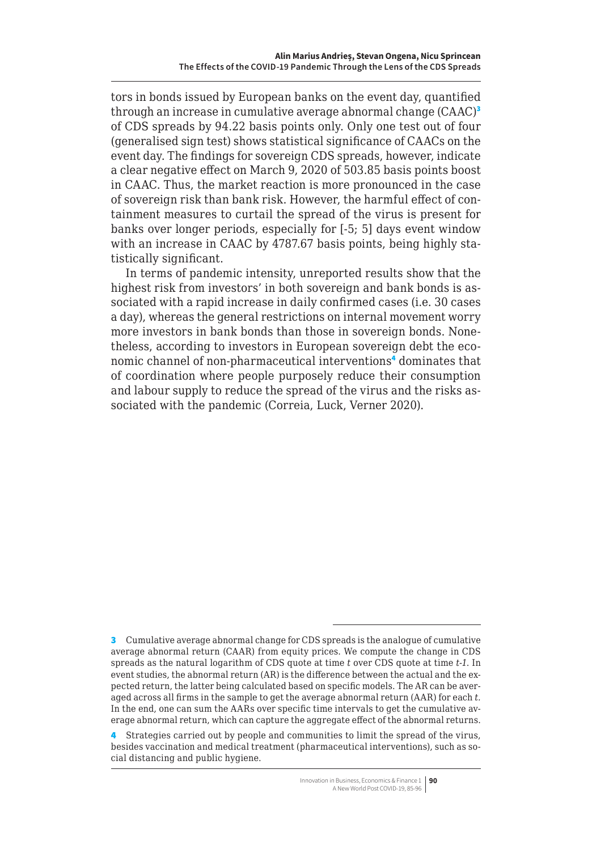tors in bonds issued by European banks on the event day, quantified through an increase in cumulative average abnormal change (CAAC)<sup>3</sup> of CDS spreads by 94.22 basis points only. Only one test out of four (generalised sign test) shows statistical significance of CAACs on the event day. The findings for sovereign CDS spreads, however, indicate a clear negative effect on March 9, 2020 of 503.85 basis points boost in CAAC. Thus, the market reaction is more pronounced in the case of sovereign risk than bank risk. However, the harmful effect of containment measures to curtail the spread of the virus is present for banks over longer periods, especially for [-5; 5] days event window with an increase in CAAC by 4787.67 basis points, being highly statistically significant.

In terms of pandemic intensity, unreported results show that the highest risk from investors' in both sovereign and bank bonds is associated with a rapid increase in daily confirmed cases (i.e. 30 cases a day), whereas the general restrictions on internal movement worry more investors in bank bonds than those in sovereign bonds. Nonetheless, according to investors in European sovereign debt the economic channel of non-pharmaceutical interventions<sup>4</sup> dominates that of coordination where people purposely reduce their consumption and labour supply to reduce the spread of the virus and the risks associated with the pandemic (Correia, Luck, Verner 2020).

<sup>3</sup> Cumulative average abnormal change for CDS spreads is the analogue of cumulative average abnormal return (CAAR) from equity prices. We compute the change in CDS spreads as the natural logarithm of CDS quote at time *t* over CDS quote at time *t-1*. In event studies, the abnormal return (AR) is the difference between the actual and the expected return, the latter being calculated based on specific models. The AR can be averaged across all firms in the sample to get the average abnormal return (AAR) for each *t.*  In the end, one can sum the AARs over specific time intervals to get the cumulative average abnormal return, which can capture the aggregate effect of the abnormal returns.

<sup>4</sup> Strategies carried out by people and communities to limit the spread of the virus, besides vaccination and medical treatment (pharmaceutical interventions), such as social distancing and public hygiene.

Innovation in Business, Economics & Finance 1 **90** A New World Post COVID-19, 85-96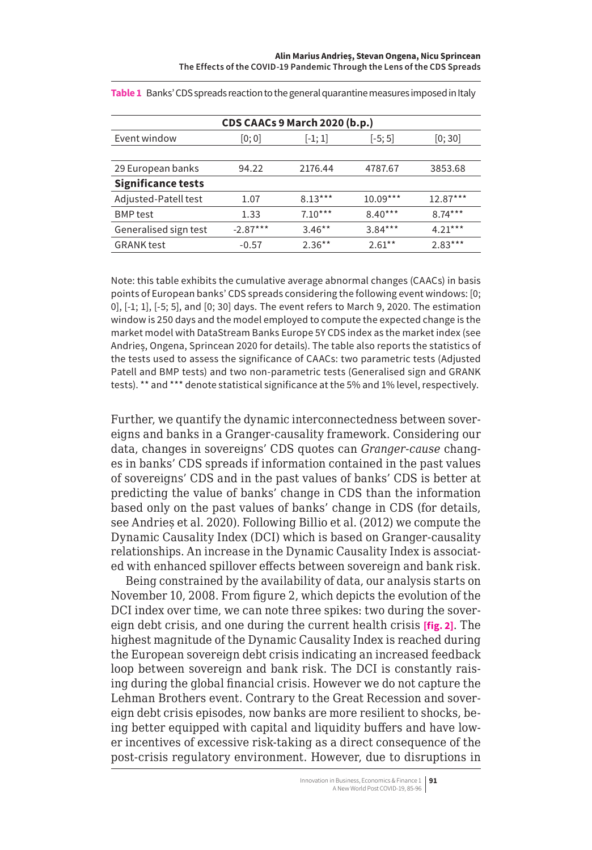| CDS CAACs 9 March 2020 (b.p.) |            |           |            |            |  |
|-------------------------------|------------|-----------|------------|------------|--|
| Event window                  | [0;0]      | $ -1;1 $  | $[-5; 5]$  | [0; 30]    |  |
|                               |            |           |            |            |  |
| 29 European banks             | 94.22      | 2176.44   | 4787.67    | 3853.68    |  |
| <b>Significance tests</b>     |            |           |            |            |  |
| Adjusted-Patell test          | 1.07       | $8.13***$ | $10.09***$ | $12.87***$ |  |
| <b>BMP</b> test               | 1.33       | $7.10***$ | $8.40***$  | $8.74***$  |  |
| Generalised sign test         | $-2.87***$ | $3.46***$ | $3.84***$  | $4.21***$  |  |
| <b>GRANK</b> test             | $-0.57$    | $2.36***$ | $2.61***$  | $2.83***$  |  |

**Table 1** Banks' CDS spreads reaction to the general quarantine measures imposed in Italy

Note: this table exhibits the cumulative average abnormal changes (CAACs) in basis points of European banks' CDS spreads considering the following event windows: [0; 0], [-1; 1], [-5; 5], and [0; 30] days. The event refers to March 9, 2020. The estimation window is 250 days and the model employed to compute the expected change is the market model with DataStream Banks Europe 5Y CDS index as the market index (see Andrieș, Ongena, Sprincean 2020 for details). The table also reports the statistics of the tests used to assess the significance of CAACs: two parametric tests (Adjusted Patell and BMP tests) and two non-parametric tests (Generalised sign and GRANK tests). \*\* and \*\*\* denote statistical significance at the 5% and 1% level, respectively.

Further, we quantify the dynamic interconnectedness between sovereigns and banks in a Granger-causality framework. Considering our data, changes in sovereigns' CDS quotes can *Granger-cause* changes in banks' CDS spreads if information contained in the past values of sovereigns' CDS and in the past values of banks' CDS is better at predicting the value of banks' change in CDS than the information based only on the past values of banks' change in CDS (for details, see Andrieș et al. 2020). Following Billio et al. (2012) we compute the Dynamic Causality Index (DCI) which is based on Granger-causality relationships. An increase in the Dynamic Causality Index is associated with enhanced spillover effects between sovereign and bank risk.

Being constrained by the availability of data, our analysis starts on November 10, 2008. From figure 2, which depicts the evolution of the DCI index over time, we can note three spikes: two during the sovereign debt crisis, and one during the current health crisis **[fig. 2]**. The highest magnitude of the Dynamic Causality Index is reached during the European sovereign debt crisis indicating an increased feedback loop between sovereign and bank risk. The DCI is constantly raising during the global financial crisis. However we do not capture the Lehman Brothers event. Contrary to the Great Recession and sovereign debt crisis episodes, now banks are more resilient to shocks, being better equipped with capital and liquidity buffers and have lower incentives of excessive risk-taking as a direct consequence of the post-crisis regulatory environment. However, due to disruptions in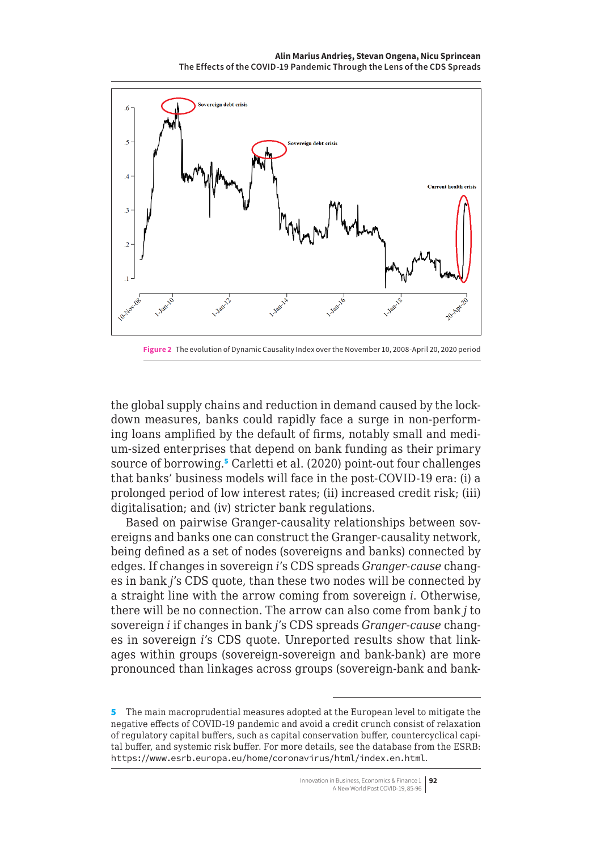**Alin Marius Andrieș, Stevan Ongena, Nicu Sprincean The Effects of the COVID-19 Pandemic Through the Lens of the CDS Spreads**



**Figure 2** The evolution of Dynamic Causality Index over the November 10, 2008-April 20, 2020 period

the global supply chains and reduction in demand caused by the lockdown measures, banks could rapidly face a surge in non-performing loans amplified by the default of firms, notably small and medium-sized enterprises that depend on bank funding as their primary source of borrowing.<sup>5</sup> Carletti et al. (2020) point-out four challenges that banks' business models will face in the post-COVID-19 era: (i) a prolonged period of low interest rates; (ii) increased credit risk; (iii) digitalisation; and (iv) stricter bank regulations.

Based on pairwise Granger-causality relationships between sovereigns and banks one can construct the Granger-causality network, being defined as a set of nodes (sovereigns and banks) connected by edges. If changes in sovereign *i*'s CDS spreads *Granger-cause* changes in bank *j*'s CDS quote, than these two nodes will be connected by a straight line with the arrow coming from sovereign *i*. Otherwise, there will be no connection. The arrow can also come from bank *j* to sovereign *i* if changes in bank *j*'s CDS spreads *Granger-cause* changes in sovereign *i*'s CDS quote. Unreported results show that linkages within groups (sovereign-sovereign and bank-bank) are more pronounced than linkages across groups (sovereign-bank and bank-

<sup>5</sup> The main macroprudential measures adopted at the European level to mitigate the negative effects of COVID-19 pandemic and avoid a credit crunch consist of relaxation of regulatory capital buffers, such as capital conservation buffer, countercyclical capital buffer, and systemic risk buffer. For more details, see the database from the ESRB: <https://www.esrb.europa.eu/home/coronavirus/html/index.en.html>.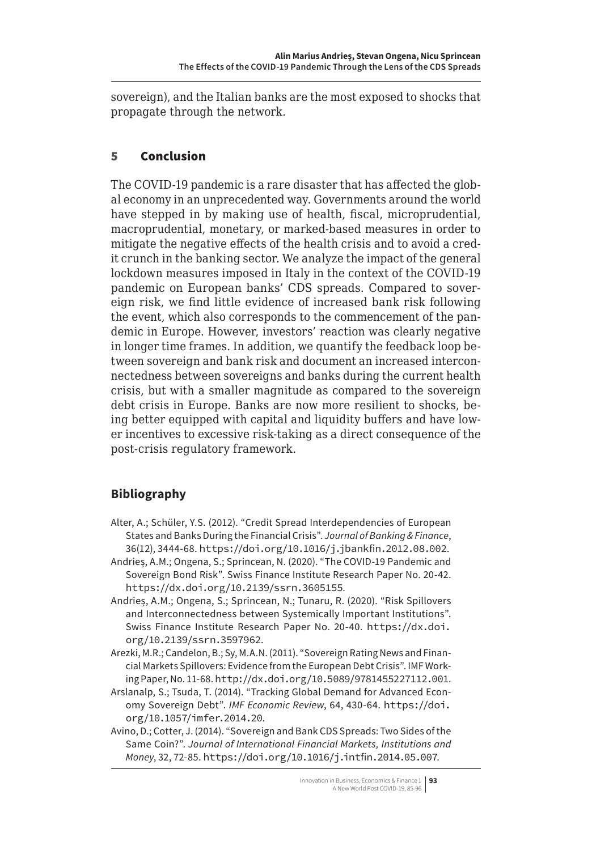sovereign), and the Italian banks are the most exposed to shocks that propagate through the network.

## 5 Conclusion

The COVID-19 pandemic is a rare disaster that has affected the global economy in an unprecedented way. Governments around the world have stepped in by making use of health, fiscal, microprudential, macroprudential, monetary, or marked-based measures in order to mitigate the negative effects of the health crisis and to avoid a credit crunch in the banking sector. We analyze the impact of the general lockdown measures imposed in Italy in the context of the COVID-19 pandemic on European banks' CDS spreads. Compared to sovereign risk, we find little evidence of increased bank risk following the event, which also corresponds to the commencement of the pandemic in Europe. However, investors' reaction was clearly negative in longer time frames. In addition, we quantify the feedback loop between sovereign and bank risk and document an increased interconnectedness between sovereigns and banks during the current health crisis, but with a smaller magnitude as compared to the sovereign debt crisis in Europe. Banks are now more resilient to shocks, being better equipped with capital and liquidity buffers and have lower incentives to excessive risk-taking as a direct consequence of the post-crisis regulatory framework.

## **Bibliography**

- Alter, A.; Schüler, Y.S. (2012). "Credit Spread Interdependencies of European States and Banks During the Financial Crisis". *Journal of Banking & Finance*, 36(12), 3444-68. <https://doi.org/10.1016/j.jbankfin.2012.08.002>.
- Andrieș, A.M.; Ongena, S.; Sprincean, N. (2020). "The COVID-19 Pandemic and Sovereign Bond Risk". Swiss Finance Institute Research Paper No. 20-42. <https://dx.doi.org/10.2139/ssrn.3605155>.
- Andrieș, A.M.; Ongena, S.; Sprincean, N.; Tunaru, R. (2020). "Risk Spillovers and Interconnectedness between Systemically Important Institutions". Swiss Finance Institute Research Paper No. 20-40. [https://dx.doi.](https://dx.doi.org/10.2139/ssrn.3597962) [org/10.2139/ssrn.3597962](https://dx.doi.org/10.2139/ssrn.3597962).
- Arezki, M.R.; Candelon, B.; Sy, M.A.N. (2011). "Sovereign Rating News and Financial Markets Spillovers: Evidence from the European Debt Crisis". IMF Working Paper, No. 11-68. <http://dx.doi.org/10.5089/9781455227112.001>.
- Arslanalp, S.; Tsuda, T. (2014). "Tracking Global Demand for Advanced Economy Sovereign Debt". *IMF Economic Review*, 64, 430-64. [https://doi.](https://doi.org/10.1057/imfer.2014.20) [org/10.1057/imfer.2014.20](https://doi.org/10.1057/imfer.2014.20).
- Avino, D.; Cotter, J. (2014). "Sovereign and Bank CDS Spreads: Two Sides of the Same Coin?". *Journal of International Financial Markets, Institutions and Money*, 32, 72-85. <https://doi.org/10.1016/j.intfin.2014.05.007>.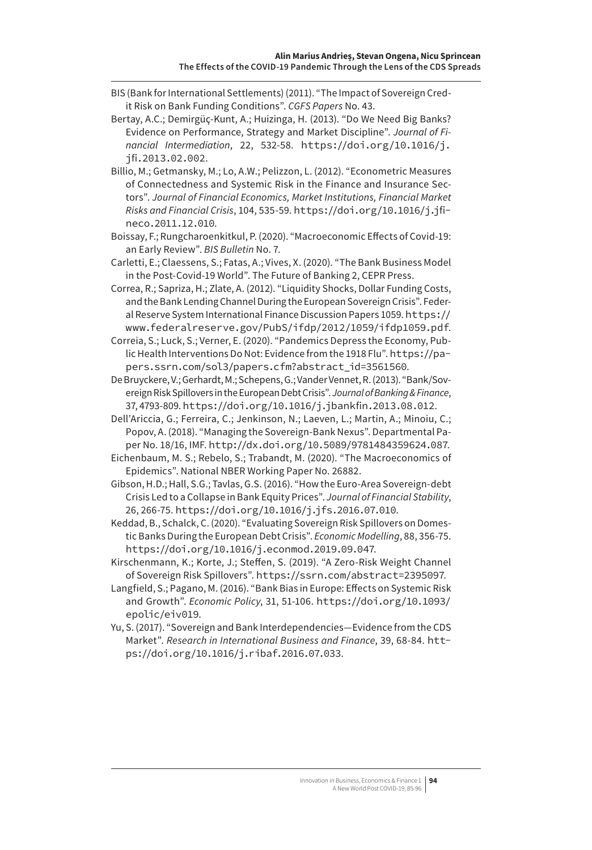- BIS (Bank for International Settlements) (2011). "The Impact of Sovereign Credit Risk on Bank Funding Conditions". *CGFS Papers* No. 43.
- Bertay, A.C.; Demirgüç-Kunt, A.; Huizinga, H. (2013). "Do We Need Big Banks? Evidence on Performance, Strategy and Market Discipline". *Journal of Financial Intermediation*, 22, 532-58. [https://doi.org/10.1016/j.](https://doi.org/10.1016/j.jfi.2013.02.002) [jfi.2013.02.002](https://doi.org/10.1016/j.jfi.2013.02.002).
- Billio, M.; Getmansky, M.; Lo, A.W.; Pelizzon, L. (2012). "Econometric Measures of Connectedness and Systemic Risk in the Finance and Insurance Sectors". *Journal of Financial Economics, Market Institutions, Financial Market Risks and Financial Crisis*, 104, 535-59. [https://doi.org/10.1016/j.jfi](https://doi.org/10.1016/j.jfineco.2011.12.010)[neco.2011.12.010](https://doi.org/10.1016/j.jfineco.2011.12.010).
- Boissay, F.; Rungcharoenkitkul, P. (2020). "Macroeconomic Effects of Covid-19: an Early Review". *BIS Bulletin* No. 7.
- Carletti, E.; Claessens, S.; Fatas, A.; Vives, X. (2020). "The Bank Business Model in the Post-Covid-19 World". The Future of Banking 2, CEPR Press.
- Correa, R.; Sapriza, H.; Zlate, A. (2012). "Liquidity Shocks, Dollar Funding Costs, and the Bank Lending Channel During the European Sovereign Crisis". Federal Reserve System International Finance Discussion Papers 1059. [https://](https://www.federalreserve.gov/PubS/ifdp/2012/1059/ifdp1059.pdf) [www.federalreserve.gov/PubS/ifdp/2012/1059/ifdp1059.pdf](https://www.federalreserve.gov/PubS/ifdp/2012/1059/ifdp1059.pdf).
- Correia, S.; Luck, S.; Verner, E. (2020). "Pandemics Depress the Economy, Public Health Interventions Do Not: Evidence from the 1918 Flu". [https://pa](https://papers.ssrn.com/sol3/papers.cfm?abstract_id=3561560)[pers.ssrn.com/sol3/papers.cfm?abstract\\_id=3561560](https://papers.ssrn.com/sol3/papers.cfm?abstract_id=3561560).
- De Bruyckere, V.; Gerhardt, M.; Schepens, G.; Vander Vennet, R. (2013). "Bank/Sovereign Risk Spillovers in the European Debt Crisis". *Journal of Banking & Finance*, 37, 4793-809. <https://doi.org/10.1016/j.jbankfin.2013.08.012>.
- Dell'Ariccia, G.; Ferreira, C.; Jenkinson, N.; Laeven, L.; Martin, A.; Minoiu, C.; Popov, A. (2018). "Managing the Sovereign-Bank Nexus". Departmental Paper No. 18/16, IMF. <http://dx.doi.org/10.5089/9781484359624.087>.
- Eichenbaum, M. S.; Rebelo, S.; Trabandt, M. (2020). "The Macroeconomics of Epidemics". National NBER Working Paper No. 26882.
- Gibson, H.D.; Hall, S.G.; Tavlas, G.S. (2016). "How the Euro-Area Sovereign-debt Crisis Led to a Collapse in Bank Equity Prices". *Journal of Financial Stability*, 26, 266-75. <https://doi.org/10.1016/j.jfs.2016.07.010>.
- Keddad, B., Schalck, C. (2020). "Evaluating Sovereign Risk Spillovers on Domestic Banks During the European Debt Crisis". *Economic Modelling*, 88, 356-75. <https://doi.org/10.1016/j.econmod.2019.09.047>.
- Kirschenmann, K.; Korte, J.; Steffen, S. (2019). "A Zero-Risk Weight Channel of Sovereign Risk Spillovers". <https://ssrn.com/abstract=2395097>.
- Langfield, S.; Pagano, M. (2016). "Bank Bias in Europe: Effects on Systemic Risk and Growth". *Economic Policy*, 31, 51-106. [https://doi.org/10.1093/](https://doi.org/10.1093/epolic/eiv019) [epolic/eiv019](https://doi.org/10.1093/epolic/eiv019).
- Yu, S. (2017). "Sovereign and Bank Interdependencies—Evidence from the CDS Market". *Research in International Business and Finance*, 39, 68-84. [htt](https://doi.org/10.1016/j.ribaf.2016.07.033)[ps://doi.org/10.1016/j.ribaf.2016.07.033](https://doi.org/10.1016/j.ribaf.2016.07.033).